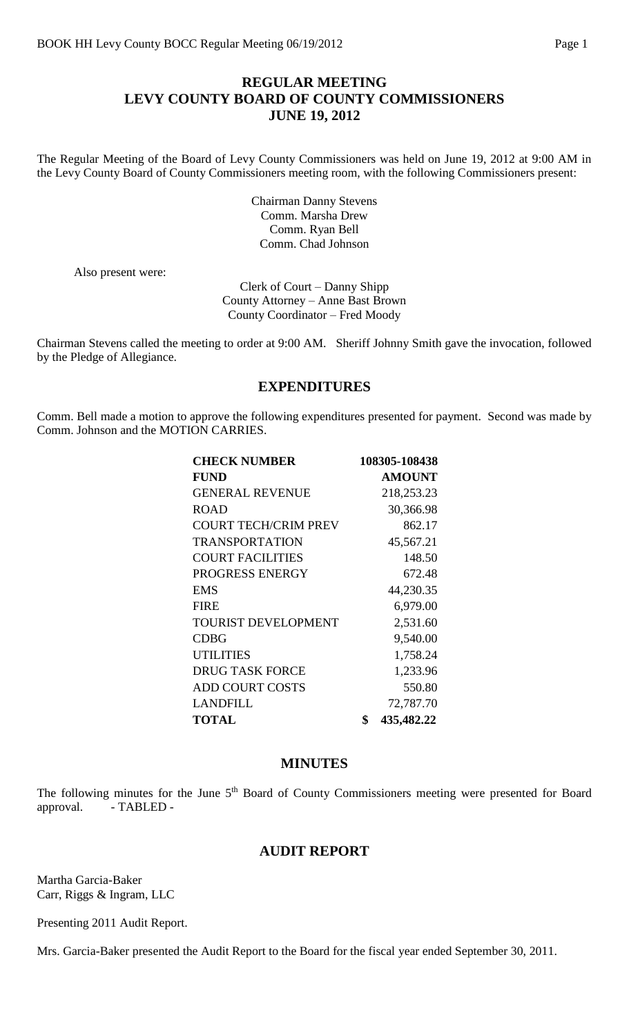### **REGULAR MEETING LEVY COUNTY BOARD OF COUNTY COMMISSIONERS JUNE 19, 2012**

The Regular Meeting of the Board of Levy County Commissioners was held on June 19, 2012 at 9:00 AM in the Levy County Board of County Commissioners meeting room, with the following Commissioners present:

> Chairman Danny Stevens Comm. Marsha Drew Comm. Ryan Bell Comm. Chad Johnson

Also present were:

Clerk of Court – Danny Shipp County Attorney – Anne Bast Brown County Coordinator – Fred Moody

Chairman Stevens called the meeting to order at 9:00 AM. Sheriff Johnny Smith gave the invocation, followed by the Pledge of Allegiance.

#### **EXPENDITURES**

Comm. Bell made a motion to approve the following expenditures presented for payment. Second was made by Comm. Johnson and the MOTION CARRIES.

| <b>CHECK NUMBER</b>         | 108305-108438    |
|-----------------------------|------------------|
| <b>FUND</b>                 | <b>AMOUNT</b>    |
| <b>GENERAL REVENUE</b>      | 218,253.23       |
| <b>ROAD</b>                 | 30,366.98        |
| <b>COURT TECH/CRIM PREV</b> | 862.17           |
| <b>TRANSPORTATION</b>       | 45,567.21        |
| <b>COURT FACILITIES</b>     | 148.50           |
| PROGRESS ENERGY             | 672.48           |
| <b>EMS</b>                  | 44,230.35        |
| <b>FIRE</b>                 | 6,979.00         |
| TOURIST DEVELOPMENT         | 2,531.60         |
| <b>CDBG</b>                 | 9,540.00         |
| <b>UTILITIES</b>            | 1,758.24         |
| <b>DRUG TASK FORCE</b>      | 1,233.96         |
| <b>ADD COURT COSTS</b>      | 550.80           |
| <b>LANDFILL</b>             | 72,787.70        |
| <b>TOTAL</b>                | \$<br>435,482.22 |

#### **MINUTES**

The following minutes for the June 5<sup>th</sup> Board of County Commissioners meeting were presented for Board approval. - TABLED -

#### **AUDIT REPORT**

Martha Garcia-Baker Carr, Riggs & Ingram, LLC

Presenting 2011 Audit Report.

Mrs. Garcia-Baker presented the Audit Report to the Board for the fiscal year ended September 30, 2011.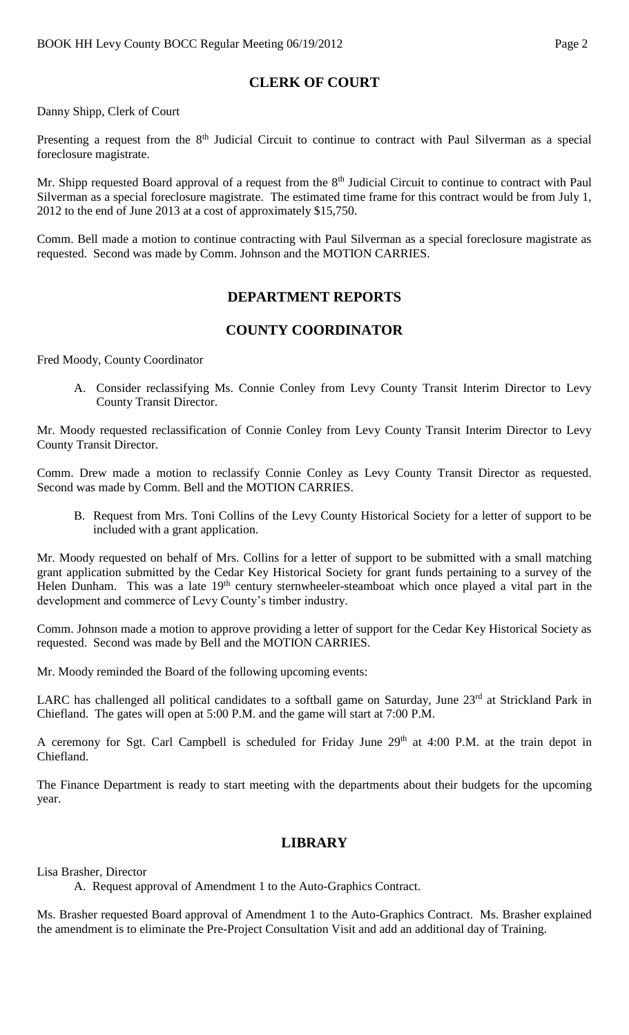# **CLERK OF COURT**

Danny Shipp, Clerk of Court

Presenting a request from the 8<sup>th</sup> Judicial Circuit to continue to contract with Paul Silverman as a special foreclosure magistrate.

Mr. Shipp requested Board approval of a request from the 8<sup>th</sup> Judicial Circuit to continue to contract with Paul Silverman as a special foreclosure magistrate. The estimated time frame for this contract would be from July 1, 2012 to the end of June 2013 at a cost of approximately \$15,750.

Comm. Bell made a motion to continue contracting with Paul Silverman as a special foreclosure magistrate as requested. Second was made by Comm. Johnson and the MOTION CARRIES.

### **DEPARTMENT REPORTS**

## **COUNTY COORDINATOR**

Fred Moody, County Coordinator

A. Consider reclassifying Ms. Connie Conley from Levy County Transit Interim Director to Levy County Transit Director.

Mr. Moody requested reclassification of Connie Conley from Levy County Transit Interim Director to Levy County Transit Director.

Comm. Drew made a motion to reclassify Connie Conley as Levy County Transit Director as requested. Second was made by Comm. Bell and the MOTION CARRIES.

B. Request from Mrs. Toni Collins of the Levy County Historical Society for a letter of support to be included with a grant application.

Mr. Moody requested on behalf of Mrs. Collins for a letter of support to be submitted with a small matching grant application submitted by the Cedar Key Historical Society for grant funds pertaining to a survey of the Helen Dunham. This was a late 19<sup>th</sup> century sternwheeler-steamboat which once played a vital part in the development and commerce of Levy County's timber industry.

Comm. Johnson made a motion to approve providing a letter of support for the Cedar Key Historical Society as requested. Second was made by Bell and the MOTION CARRIES.

Mr. Moody reminded the Board of the following upcoming events:

LARC has challenged all political candidates to a softball game on Saturday, June 23<sup>rd</sup> at Strickland Park in Chiefland. The gates will open at 5:00 P.M. and the game will start at 7:00 P.M.

A ceremony for Sgt. Carl Campbell is scheduled for Friday June 29<sup>th</sup> at 4:00 P.M. at the train depot in Chiefland.

The Finance Department is ready to start meeting with the departments about their budgets for the upcoming year.

#### **LIBRARY**

Lisa Brasher, Director

A. Request approval of Amendment 1 to the Auto-Graphics Contract.

Ms. Brasher requested Board approval of Amendment 1 to the Auto-Graphics Contract. Ms. Brasher explained the amendment is to eliminate the Pre-Project Consultation Visit and add an additional day of Training.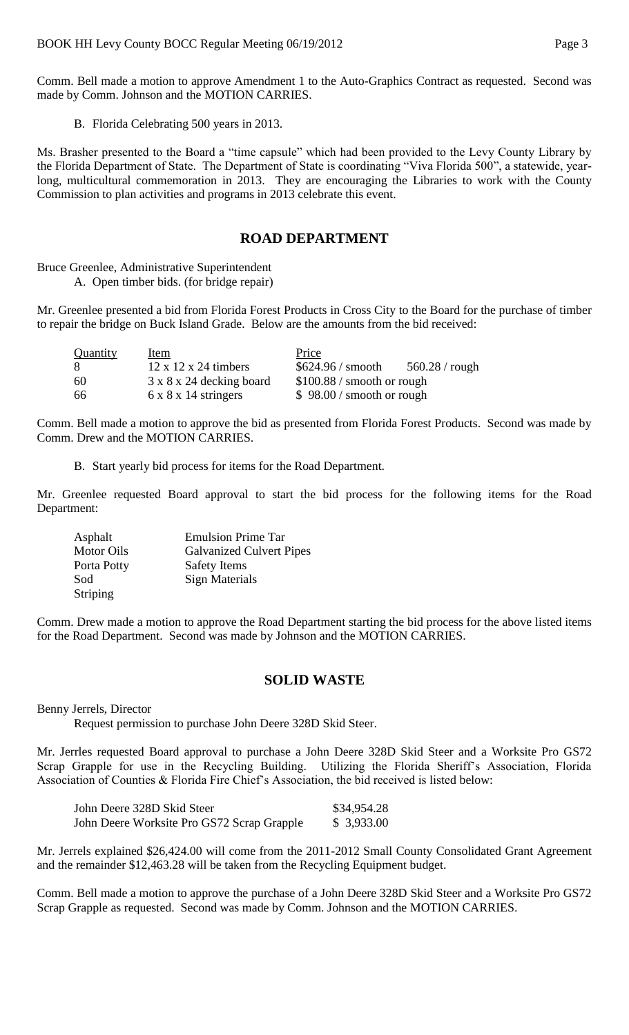Comm. Bell made a motion to approve Amendment 1 to the Auto-Graphics Contract as requested. Second was made by Comm. Johnson and the MOTION CARRIES.

B. Florida Celebrating 500 years in 2013.

Ms. Brasher presented to the Board a "time capsule" which had been provided to the Levy County Library by the Florida Department of State. The Department of State is coordinating "Viva Florida 500", a statewide, yearlong, multicultural commemoration in 2013. They are encouraging the Libraries to work with the County Commission to plan activities and programs in 2013 celebrate this event.

### **ROAD DEPARTMENT**

Bruce Greenlee, Administrative Superintendent

A. Open timber bids. (for bridge repair)

Mr. Greenlee presented a bid from Florida Forest Products in Cross City to the Board for the purchase of timber to repair the bridge on Buck Island Grade. Below are the amounts from the bid received:

| Quantity | Item                                 | Price                                         |  |
|----------|--------------------------------------|-----------------------------------------------|--|
| 8        | $12 \times 12 \times 24$ timbers     | $$624.96 /$ smooth<br>$560.28 / \text{rough}$ |  |
| 60       | $3 \times 8 \times 24$ decking board | $$100.88 /$ smooth or rough                   |  |
| 66       | $6 \times 8 \times 14$ stringers     | $$98.00 /$ smooth or rough                    |  |

Comm. Bell made a motion to approve the bid as presented from Florida Forest Products. Second was made by Comm. Drew and the MOTION CARRIES.

B. Start yearly bid process for items for the Road Department.

Mr. Greenlee requested Board approval to start the bid process for the following items for the Road Department:

| Asphalt           | <b>Emulsion Prime Tar</b>       |
|-------------------|---------------------------------|
| <b>Motor Oils</b> | <b>Galvanized Culvert Pipes</b> |
| Porta Potty       | <b>Safety Items</b>             |
| Sod               | Sign Materials                  |
| <b>Striping</b>   |                                 |

Comm. Drew made a motion to approve the Road Department starting the bid process for the above listed items for the Road Department. Second was made by Johnson and the MOTION CARRIES.

#### **SOLID WASTE**

Benny Jerrels, Director

Request permission to purchase John Deere 328D Skid Steer.

Mr. Jerrles requested Board approval to purchase a John Deere 328D Skid Steer and a Worksite Pro GS72 Scrap Grapple for use in the Recycling Building. Utilizing the Florida Sheriff's Association, Florida Association of Counties & Florida Fire Chief's Association, the bid received is listed below:

| John Deere 328D Skid Steer                 | \$34,954.28 |
|--------------------------------------------|-------------|
| John Deere Worksite Pro GS72 Scrap Grapple | \$3,933.00  |

Mr. Jerrels explained \$26,424.00 will come from the 2011-2012 Small County Consolidated Grant Agreement and the remainder \$12,463.28 will be taken from the Recycling Equipment budget.

Comm. Bell made a motion to approve the purchase of a John Deere 328D Skid Steer and a Worksite Pro GS72 Scrap Grapple as requested. Second was made by Comm. Johnson and the MOTION CARRIES.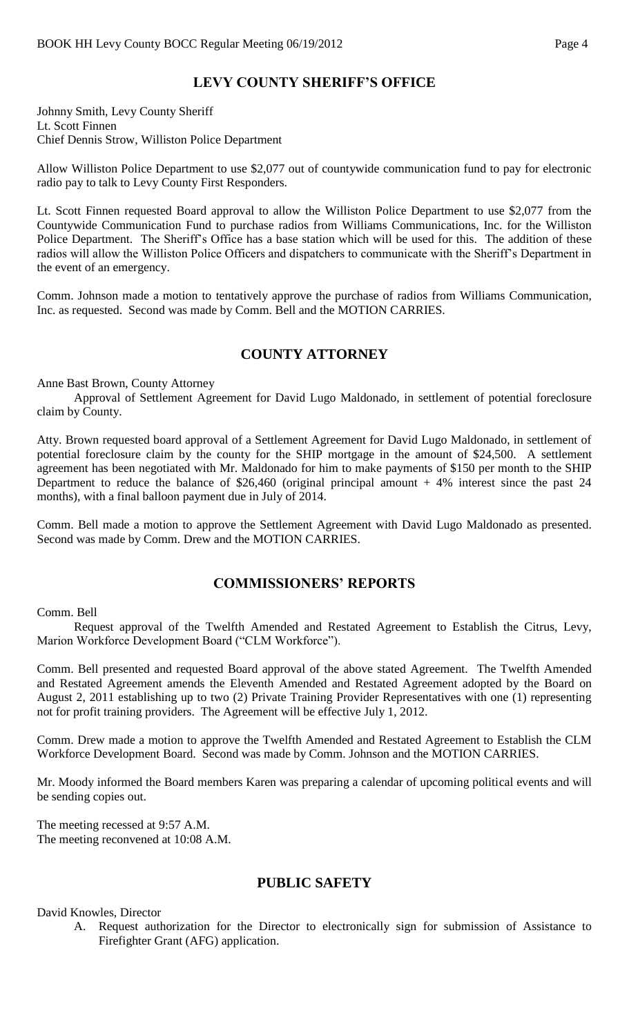# **LEVY COUNTY SHERIFF'S OFFICE**

Johnny Smith, Levy County Sheriff Lt. Scott Finnen Chief Dennis Strow, Williston Police Department

Allow Williston Police Department to use \$2,077 out of countywide communication fund to pay for electronic radio pay to talk to Levy County First Responders.

Lt. Scott Finnen requested Board approval to allow the Williston Police Department to use \$2,077 from the Countywide Communication Fund to purchase radios from Williams Communications, Inc. for the Williston Police Department. The Sheriff's Office has a base station which will be used for this. The addition of these radios will allow the Williston Police Officers and dispatchers to communicate with the Sheriff's Department in the event of an emergency.

Comm. Johnson made a motion to tentatively approve the purchase of radios from Williams Communication, Inc. as requested. Second was made by Comm. Bell and the MOTION CARRIES.

### **COUNTY ATTORNEY**

Anne Bast Brown, County Attorney

Approval of Settlement Agreement for David Lugo Maldonado, in settlement of potential foreclosure claim by County.

Atty. Brown requested board approval of a Settlement Agreement for David Lugo Maldonado, in settlement of potential foreclosure claim by the county for the SHIP mortgage in the amount of \$24,500. A settlement agreement has been negotiated with Mr. Maldonado for him to make payments of \$150 per month to the SHIP Department to reduce the balance of \$26,460 (original principal amount  $+4%$  interest since the past 24 months), with a final balloon payment due in July of 2014.

Comm. Bell made a motion to approve the Settlement Agreement with David Lugo Maldonado as presented. Second was made by Comm. Drew and the MOTION CARRIES.

## **COMMISSIONERS' REPORTS**

#### Comm. Bell

Request approval of the Twelfth Amended and Restated Agreement to Establish the Citrus, Levy, Marion Workforce Development Board ("CLM Workforce").

Comm. Bell presented and requested Board approval of the above stated Agreement. The Twelfth Amended and Restated Agreement amends the Eleventh Amended and Restated Agreement adopted by the Board on August 2, 2011 establishing up to two (2) Private Training Provider Representatives with one (1) representing not for profit training providers. The Agreement will be effective July 1, 2012.

Comm. Drew made a motion to approve the Twelfth Amended and Restated Agreement to Establish the CLM Workforce Development Board. Second was made by Comm. Johnson and the MOTION CARRIES.

Mr. Moody informed the Board members Karen was preparing a calendar of upcoming political events and will be sending copies out.

The meeting recessed at 9:57 A.M. The meeting reconvened at 10:08 A.M.

## **PUBLIC SAFETY**

#### David Knowles, Director

A. Request authorization for the Director to electronically sign for submission of Assistance to Firefighter Grant (AFG) application.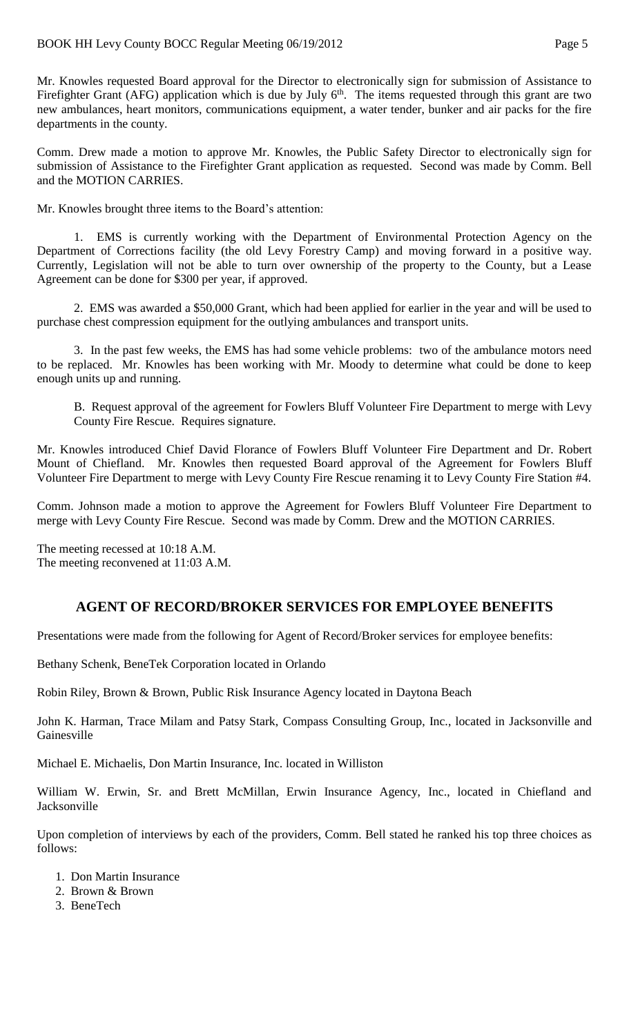Mr. Knowles requested Board approval for the Director to electronically sign for submission of Assistance to Firefighter Grant (AFG) application which is due by July  $6<sup>th</sup>$ . The items requested through this grant are two new ambulances, heart monitors, communications equipment, a water tender, bunker and air packs for the fire departments in the county.

Comm. Drew made a motion to approve Mr. Knowles, the Public Safety Director to electronically sign for submission of Assistance to the Firefighter Grant application as requested. Second was made by Comm. Bell and the MOTION CARRIES.

Mr. Knowles brought three items to the Board's attention:

1. EMS is currently working with the Department of Environmental Protection Agency on the Department of Corrections facility (the old Levy Forestry Camp) and moving forward in a positive way. Currently, Legislation will not be able to turn over ownership of the property to the County, but a Lease Agreement can be done for \$300 per year, if approved.

2. EMS was awarded a \$50,000 Grant, which had been applied for earlier in the year and will be used to purchase chest compression equipment for the outlying ambulances and transport units.

3. In the past few weeks, the EMS has had some vehicle problems: two of the ambulance motors need to be replaced. Mr. Knowles has been working with Mr. Moody to determine what could be done to keep enough units up and running.

B. Request approval of the agreement for Fowlers Bluff Volunteer Fire Department to merge with Levy County Fire Rescue. Requires signature.

Mr. Knowles introduced Chief David Florance of Fowlers Bluff Volunteer Fire Department and Dr. Robert Mount of Chiefland. Mr. Knowles then requested Board approval of the Agreement for Fowlers Bluff Volunteer Fire Department to merge with Levy County Fire Rescue renaming it to Levy County Fire Station #4.

Comm. Johnson made a motion to approve the Agreement for Fowlers Bluff Volunteer Fire Department to merge with Levy County Fire Rescue. Second was made by Comm. Drew and the MOTION CARRIES.

The meeting recessed at 10:18 A.M. The meeting reconvened at 11:03 A.M.

# **AGENT OF RECORD/BROKER SERVICES FOR EMPLOYEE BENEFITS**

Presentations were made from the following for Agent of Record/Broker services for employee benefits:

Bethany Schenk, BeneTek Corporation located in Orlando

Robin Riley, Brown & Brown, Public Risk Insurance Agency located in Daytona Beach

John K. Harman, Trace Milam and Patsy Stark, Compass Consulting Group, Inc., located in Jacksonville and Gainesville

Michael E. Michaelis, Don Martin Insurance, Inc. located in Williston

William W. Erwin, Sr. and Brett McMillan, Erwin Insurance Agency, Inc., located in Chiefland and Jacksonville

Upon completion of interviews by each of the providers, Comm. Bell stated he ranked his top three choices as follows:

- 1. Don Martin Insurance
- 2. Brown & Brown
- 3. BeneTech